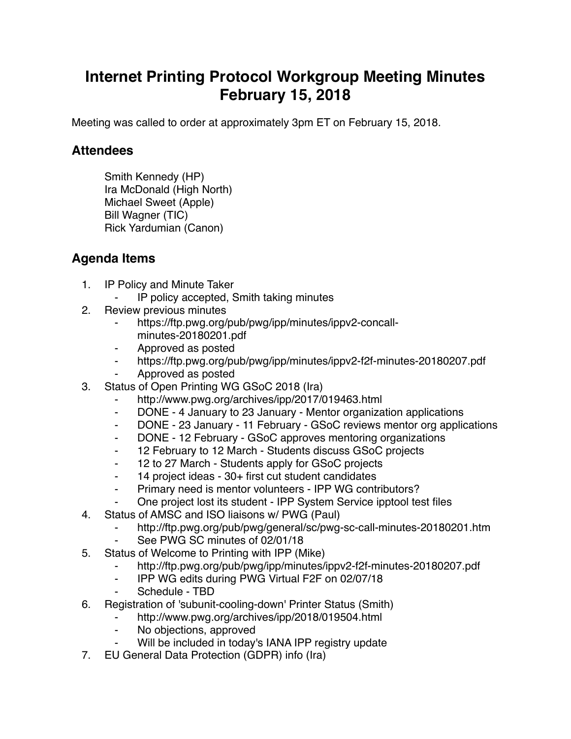## **Internet Printing Protocol Workgroup Meeting Minutes February 15, 2018**

Meeting was called to order at approximately 3pm ET on February 15, 2018.

## **Attendees**

Smith Kennedy (HP) Ira McDonald (High North) Michael Sweet (Apple) Bill Wagner (TIC) Rick Yardumian (Canon)

## **Agenda Items**

- 1. IP Policy and Minute Taker
	- IP policy accepted, Smith taking minutes
- 2. Review previous minutes
	- https://ftp.pwg.org/pub/pwg/ipp/minutes/ippv2-concallminutes-20180201.pdf
	- ⁃ Approved as posted
	- ⁃ https://ftp.pwg.org/pub/pwg/ipp/minutes/ippv2-f2f-minutes-20180207.pdf
	- ⁃ Approved as posted
- 3. Status of Open Printing WG GSoC 2018 (Ira)
	- http://www.pwg.org/archives/ipp/2017/019463.html
	- ⁃ DONE 4 January to 23 January Mentor organization applications
	- ⁃ DONE 23 January 11 February GSoC reviews mentor org applications
	- ⁃ DONE 12 February GSoC approves mentoring organizations
	- ⁃ 12 February to 12 March Students discuss GSoC projects
	- ⁃ 12 to 27 March Students apply for GSoC projects
	- ⁃ 14 project ideas 30+ first cut student candidates
	- ⁃ Primary need is mentor volunteers IPP WG contributors?
	- One project lost its student IPP System Service ipptool test files
- 4. Status of AMSC and ISO liaisons w/ PWG (Paul)
	- http://ftp.pwg.org/pub/pwg/general/sc/pwg-sc-call-minutes-20180201.htm
	- ⁃ See PWG SC minutes of 02/01/18
- 5. Status of Welcome to Printing with IPP (Mike)
	- ⁃ http://ftp.pwg.org/pub/pwg/ipp/minutes/ippv2-f2f-minutes-20180207.pdf
	- ⁃ IPP WG edits during PWG Virtual F2F on 02/07/18
	- Schedule TBD
- 6. Registration of 'subunit-cooling-down' Printer Status (Smith)
	- http://www.pwg.org/archives/ipp/2018/019504.html
	- No objections, approved
	- Will be included in today's IANA IPP registry update
- 7. EU General Data Protection (GDPR) info (Ira)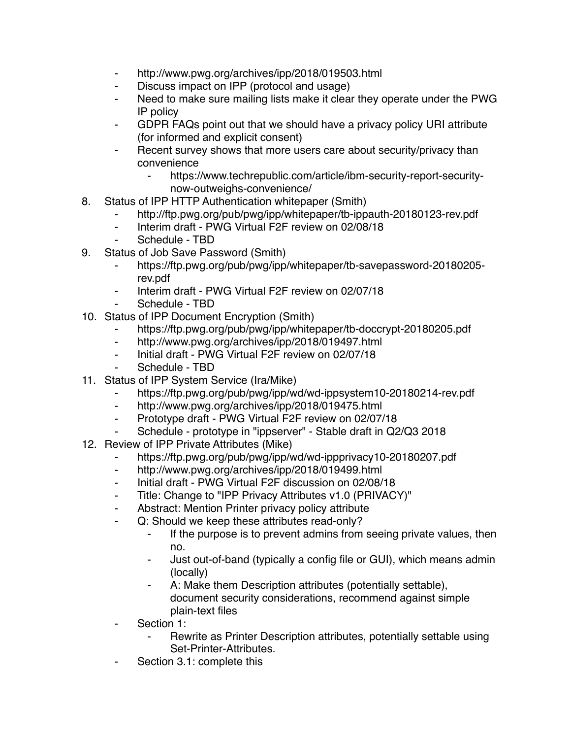- ⁃ http://www.pwg.org/archives/ipp/2018/019503.html
- ⁃ Discuss impact on IPP (protocol and usage)
- ⁃ Need to make sure mailing lists make it clear they operate under the PWG IP policy
- ⁃ GDPR FAQs point out that we should have a privacy policy URI attribute (for informed and explicit consent)
- Recent survey shows that more users care about security/privacy than convenience
	- https://www.techrepublic.com/article/ibm-security-report-securitynow-outweighs-convenience/
- 8. Status of IPP HTTP Authentication whitepaper (Smith)
	- ⁃ http://ftp.pwg.org/pub/pwg/ipp/whitepaper/tb-ippauth-20180123-rev.pdf
	- ⁃ Interim draft PWG Virtual F2F review on 02/08/18
	- Schedule TBD
- 9. Status of Job Save Password (Smith)
	- ⁃ https://ftp.pwg.org/pub/pwg/ipp/whitepaper/tb-savepassword-20180205 rev.pdf
	- Interim draft PWG Virtual F2F review on 02/07/18
	- Schedule TBD
- 10. Status of IPP Document Encryption (Smith)
	- https://ftp.pwg.org/pub/pwg/ipp/whitepaper/tb-doccrypt-20180205.pdf
	- ⁃ http://www.pwg.org/archives/ipp/2018/019497.html
	- Initial draft PWG Virtual F2F review on 02/07/18
	- Schedule TBD
- 11. Status of IPP System Service (Ira/Mike)
	- https://ftp.pwg.org/pub/pwg/ipp/wd/wd-ippsystem10-20180214-rev.pdf
	- ⁃ http://www.pwg.org/archives/ipp/2018/019475.html
	- ⁃ Prototype draft PWG Virtual F2F review on 02/07/18
	- Schedule prototype in "ippserver" Stable draft in Q2/Q3 2018
- 12. Review of IPP Private Attributes (Mike)
	- https://ftp.pwg.org/pub/pwg/ipp/wd/wd-ippprivacy10-20180207.pdf
	- ⁃ http://www.pwg.org/archives/ipp/2018/019499.html
	- ⁃ Initial draft PWG Virtual F2F discussion on 02/08/18
	- ⁃ Title: Change to "IPP Privacy Attributes v1.0 (PRIVACY)"
	- ⁃ Abstract: Mention Printer privacy policy attribute
		- Q: Should we keep these attributes read-only?
			- ⁃ If the purpose is to prevent admins from seeing private values, then no.
			- Just out-of-band (typically a config file or GUI), which means admin (locally)
			- A: Make them Description attributes (potentially settable), document security considerations, recommend against simple plain-text files
	- Section 1:
		- Rewrite as Printer Description attributes, potentially settable using Set-Printer-Attributes.
	- Section 3.1: complete this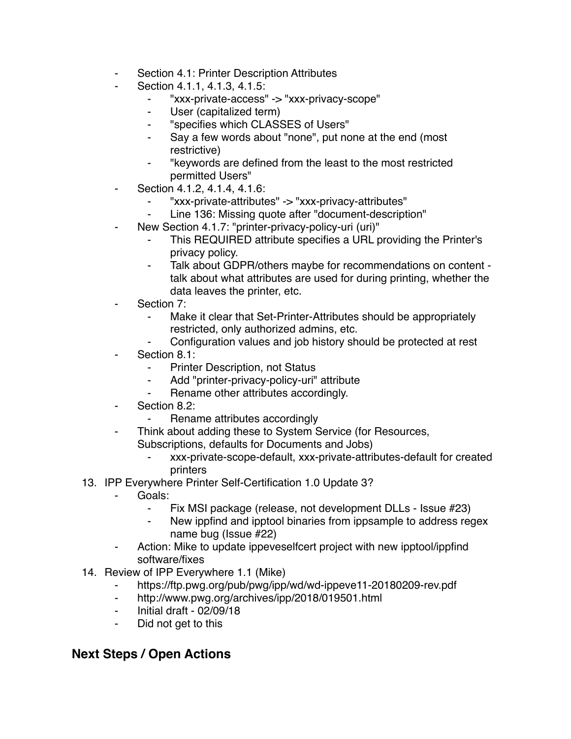- Section 4.1: Printer Description Attributes
- Section 4.1.1, 4.1.3, 4.1.5:
	- ⁃ "xxx-private-access" -> "xxx-privacy-scope"
	- ⁃ User (capitalized term)
	- ⁃ "specifies which CLASSES of Users"
	- Say a few words about "none", put none at the end (most restrictive)
	- ⁃ "keywords are defined from the least to the most restricted permitted Users"
- Section 4.1.2, 4.1.4, 4.1.6:
	- ⁃ "xxx-private-attributes" -> "xxx-privacy-attributes"
	- Line 136: Missing quote after "document-description"
	- New Section 4.1.7: "printer-privacy-policy-uri (uri)"
		- This REQUIRED attribute specifies a URL providing the Printer's privacy policy.
		- Talk about GDPR/others maybe for recommendations on content talk about what attributes are used for during printing, whether the data leaves the printer, etc.
- Section 7:
	- Make it clear that Set-Printer-Attributes should be appropriately restricted, only authorized admins, etc.
	- ⁃ Configuration values and job history should be protected at rest
- Section 8.1:
	- ⁃ Printer Description, not Status
	- ⁃ Add "printer-privacy-policy-uri" attribute
	- Rename other attributes accordingly.
- Section 8.2:
	- ⁃ Rename attributes accordingly
- Think about adding these to System Service (for Resources, Subscriptions, defaults for Documents and Jobs)
	- ⁃ xxx-private-scope-default, xxx-private-attributes-default for created printers
- 13. IPP Everywhere Printer Self-Certification 1.0 Update 3?
	- ⁃ Goals:
		- ⁃ Fix MSI package (release, not development DLLs Issue #23)
		- New ippfind and ipptool binaries from ippsample to address regex name bug (Issue #22)
	- ⁃ Action: Mike to update ippeveselfcert project with new ipptool/ippfind software/fixes
- 14. Review of IPP Everywhere 1.1 (Mike)
	- https://ftp.pwg.org/pub/pwg/ipp/wd/wd-ippeve11-20180209-rev.pdf
	- ⁃ http://www.pwg.org/archives/ipp/2018/019501.html
	- ⁃ Initial draft 02/09/18
	- ⁃ Did not get to this

## **Next Steps / Open Actions**